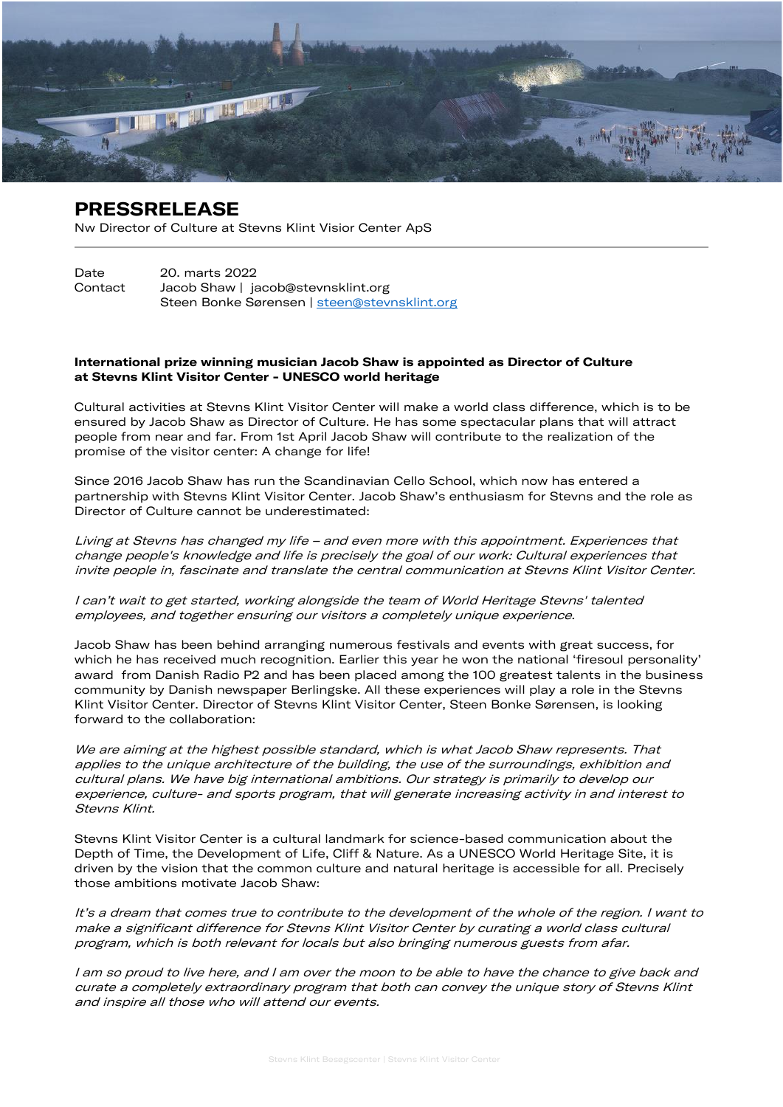

## PRESSRELEASE

Nw Director of Culture at Stevns Klint Visior Center ApS

Date 20. marts 2022 Contact Jacob Shaw | jacob@stevnsklint.org Steen Bonke Sørensen | [steen@stevnsklint.org](mailto:steen@stevnsklint.org)

## International prize winning musician Jacob Shaw is appointed as Director of Culture at Stevns Klint Visitor Center - UNESCO world heritage

Cultural activities at Stevns Klint Visitor Center will make a world class difference, which is to be ensured by Jacob Shaw as Director of Culture. He has some spectacular plans that will attract people from near and far. From 1st April Jacob Shaw will contribute to the realization of the promise of the visitor center: A change for life!

Since 2016 Jacob Shaw has run the Scandinavian Cello School, which now has entered a partnership with Stevns Klint Visitor Center. Jacob Shaw's enthusiasm for Stevns and the role as Director of Culture cannot be underestimated:

Living at Stevns has changed my life – and even more with this appointment. Experiences that change people's knowledge and life is precisely the goal of our work: Cultural experiences that invite people in, fascinate and translate the central communication at Stevns Klint Visitor Center.

I can't wait to get started, working alongside the team of World Heritage Stevns' talented employees, and together ensuring our visitors a completely unique experience.

Jacob Shaw has been behind arranging numerous festivals and events with great success, for which he has received much recognition. Earlier this year he won the national 'firesoul personality' award from Danish Radio P2 and has been placed among the 100 greatest talents in the business community by Danish newspaper Berlingske. All these experiences will play a role in the Stevns Klint Visitor Center. Director of Stevns Klint Visitor Center, Steen Bonke Sørensen, is looking forward to the collaboration:

We are aiming at the highest possible standard, which is what Jacob Shaw represents. That applies to the unique architecture of the building, the use of the surroundings, exhibition and cultural plans. We have big international ambitions. Our strategy is primarily to develop our experience, culture- and sports program, that will generate increasing activity in and interest to Stevns Klint.

Stevns Klint Visitor Center is a cultural landmark for science-based communication about the Depth of Time, the Development of Life, Cliff & Nature. As a UNESCO World Heritage Site, it is driven by the vision that the common culture and natural heritage is accessible for all. Precisely those ambitions motivate Jacob Shaw:

It's a dream that comes true to contribute to the development of the whole of the region. I want to make a significant difference for Stevns Klint Visitor Center by curating a world class cultural program, which is both relevant for locals but also bringing numerous guests from afar.

I am so proud to live here, and I am over the moon to be able to have the chance to give back and curate a completely extraordinary program that both can convey the unique story of Stevns Klint and inspire all those who will attend our events.